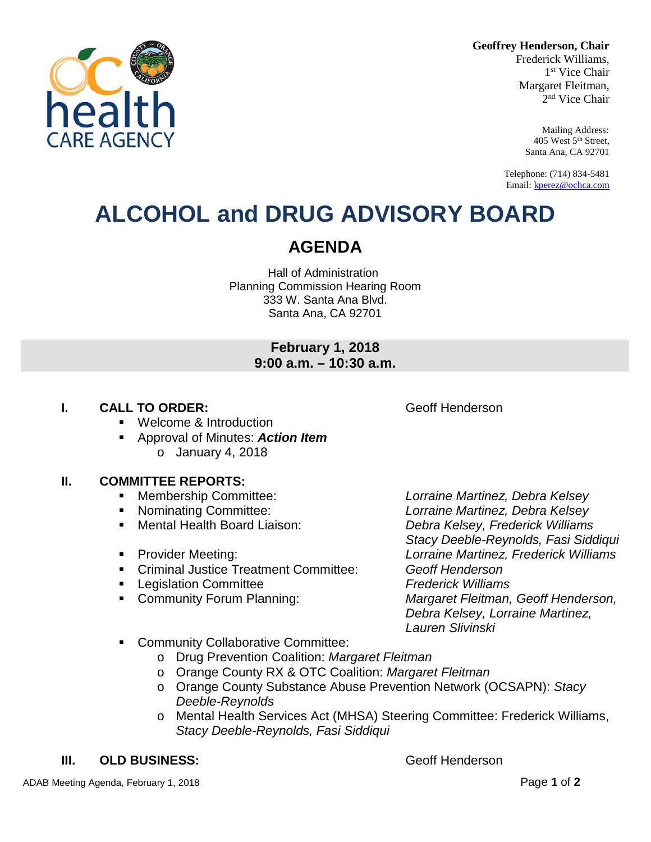**Geoffrey Henderson, Chair**

Frederick Williams, 1<sup>st</sup> Vice Chair Margaret Fleitman, 2<sup>nd</sup> Vice Chair

> Mailing Address: 405 West 5th Street, Santa Ana, CA 92701

Telephone: (714) 834-5481 Email[: kperez@ochca.com](mailto:kperez@ochca.com)

## **ALCOHOL and DRUG ADVISORY BOARD**

## **AGENDA**

Hall of Administration Planning Commission Hearing Room 333 W. Santa Ana Blvd. Santa Ana, CA 92701

## **February 1, 2018 9:00 a.m. – 10:30 a.m.**

## **I. CALL TO ORDER: CALL TO ORDER: CALL ACCESS Geoff Henderson**

- **Welcome & Introduction**
- Approval of Minutes: *Action Item* o January 4, 2018

## **II. COMMITTEE REPORTS:**

- Membership Committee: *Lorraine Martinez, Debra Kelsey*
- 
- 
- 
- Criminal Justice Treatment Committee: *Geoff Henderson*
- Legislation Committee *Frederick Williams*
- 

 Nominating Committee: *Lorraine Martinez, Debra Kelsey* Mental Health Board Liaison: *Debra Kelsey, Frederick Williams Stacy Deeble-Reynolds, Fasi Siddiqui* Provider Meeting: *Lorraine Martinez, Frederick Williams* Community Forum Planning: *Margaret Fleitman, Geoff Henderson, Debra Kelsey, Lorraine Martinez, Lauren Slivinski*

- **Community Collaborative Committee:** 
	- o Drug Prevention Coalition: *Margaret Fleitman*
	- o Orange County RX & OTC Coalition: *Margaret Fleitman*
	- o Orange County Substance Abuse Prevention Network (OCSAPN): *Stacy Deeble-Reynolds*
	- o Mental Health Services Act (MHSA) Steering Committee: Frederick Williams, *Stacy Deeble-Reynolds, Fasi Siddiqui*

## **III. OLD BUSINESS:** Geoff Henderson

ADAB Meeting Agenda, February 1, 2018 Page **1** of **2**